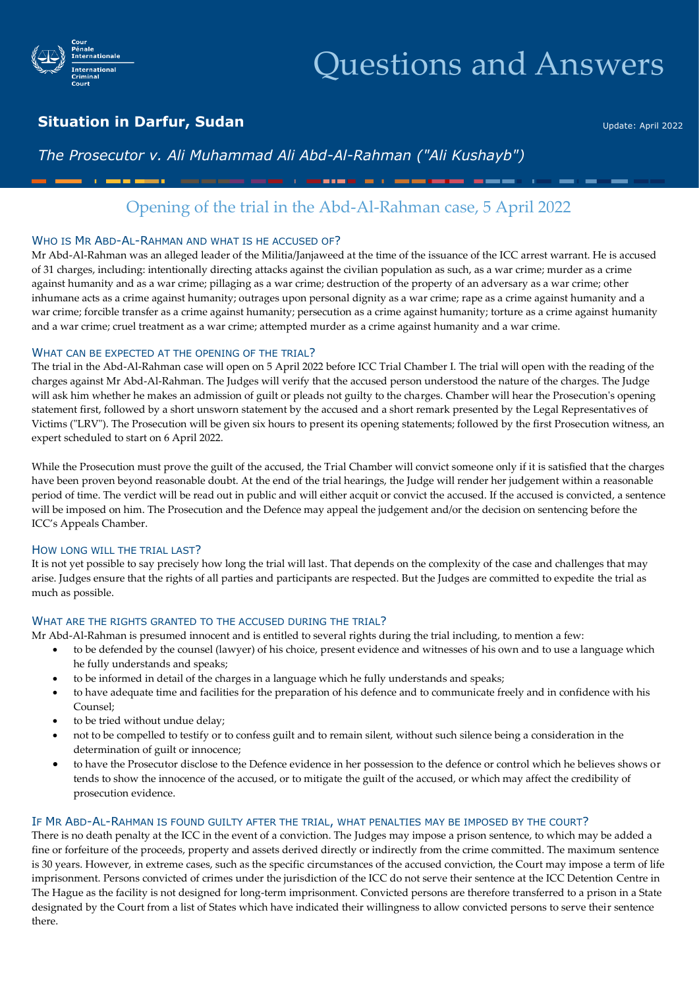

# Questions and Answers

## **Situation in Darfur, Sudan**

Update: April 2022

## *The Prosecutor v. Ali Muhammad Ali Abd-Al-Rahman ("Ali Kushayb")*

## Opening of the trial in the Abd-Al-Rahman case, 5 April 2022

**Constitution of the constitution** 

#### WHO IS MR ABD-AL-RAHMAN AND WHAT IS HE ACCUSED OF?

Mr Abd-Al-Rahman was an alleged leader of the Militia/Janjaweed at the time of the issuance of the ICC arrest warrant. He is accused of 31 charges, including: intentionally directing attacks against the civilian population as such, as a war crime; murder as a crime against humanity and as a war crime; pillaging as a war crime; destruction of the property of an adversary as a war crime; other inhumane acts as a crime against humanity; outrages upon personal dignity as a war crime; rape as a crime against humanity and a war crime; forcible transfer as a crime against humanity; persecution as a crime against humanity; torture as a crime against humanity and a war crime; cruel treatment as a war crime; attempted murder as a crime against humanity and a war crime.

#### WHAT CAN BE EXPECTED AT THE OPENING OF THE TRIAL?

The trial in the Abd-Al-Rahman case will open on 5 April 2022 before ICC Trial Chamber I. The trial will open with the reading of the charges against Mr Abd-Al-Rahman. The Judges will verify that the accused person understood the nature of the charges. The Judge will ask him whether he makes an admission of guilt or pleads not guilty to the charges. Chamber will hear the Prosecution's opening statement first, followed by a short unsworn statement by the accused and a short remark presented by the Legal Representatives of Victims ("LRV"). The Prosecution will be given six hours to present its opening statements; followed by the first Prosecution witness, an expert scheduled to start on 6 April 2022.

While the Prosecution must prove the guilt of the accused, the Trial Chamber will convict someone only if it is satisfied that the charges have been proven beyond reasonable doubt. At the end of the trial hearings, the Judge will render her judgement within a reasonable period of time. The verdict will be read out in public and will either acquit or convict the accused. If the accused is convicted, a sentence will be imposed on him. The Prosecution and the Defence may appeal the judgement and/or the decision on sentencing before the ICC's Appeals Chamber.

#### HOW LONG WILL THE TRIAL LAST?

It is not yet possible to say precisely how long the trial will last. That depends on the complexity of the case and challenges that may arise. Judges ensure that the rights of all parties and participants are respected. But the Judges are committed to expedite the trial as much as possible.

#### WHAT ARE THE RIGHTS GRANTED TO THE ACCUSED DURING THE TRIAL?

- Mr Abd-Al-Rahman is presumed innocent and is entitled to several rights during the trial including, to mention a few:
	- to be defended by the counsel (lawyer) of his choice, present evidence and witnesses of his own and to use a language which he fully understands and speaks;
	- to be informed in detail of the charges in a language which he fully understands and speaks;
	- to have adequate time and facilities for the preparation of his defence and to communicate freely and in confidence with his Counsel;
	- to be tried without undue delay;
	- not to be compelled to testify or to confess guilt and to remain silent, without such silence being a consideration in the determination of guilt or innocence;
	- to have the Prosecutor disclose to the Defence evidence in her possession to the defence or control which he believes shows or tends to show the innocence of the accused, or to mitigate the guilt of the accused, or which may affect the credibility of prosecution evidence.

#### IF MR ABD-AL-RAHMAN IS FOUND GUILTY AFTER THE TRIAL, WHAT PENALTIES MAY BE IMPOSED BY THE COURT?

There is no death penalty at the ICC in the event of a conviction. The Judges may impose a prison sentence, to which may be added a fine or forfeiture of the proceeds, property and assets derived directly or indirectly from the crime committed. The maximum sentence is 30 years. However, in extreme cases, such as the specific circumstances of the accused conviction, the Court may impose a term of life imprisonment. Persons convicted of crimes under the jurisdiction of the ICC do not serve their sentence at the ICC Detention Centre in The Hague as the facility is not designed for long-term imprisonment. Convicted persons are therefore transferred to a prison in a State designated by the Court from a list of States which have indicated their willingness to allow convicted persons to serve their sentence there.